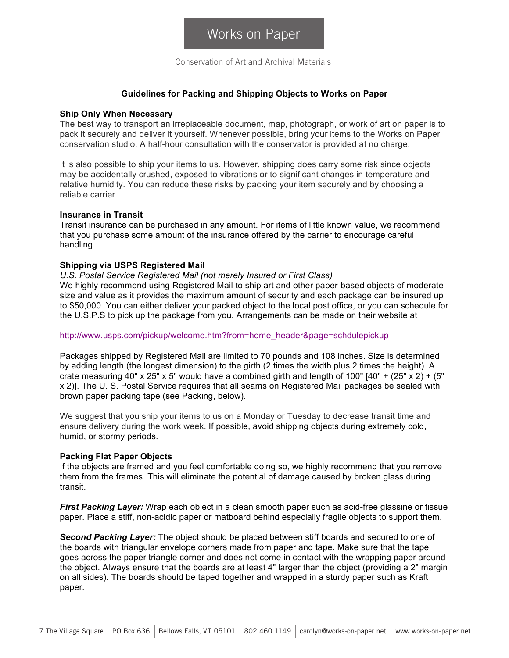Conservation of Art and Archival Materials

### **Guidelines for Packing and Shipping Objects to Works on Paper**

#### **Ship Only When Necessary**

The best way to transport an irreplaceable document, map, photograph, or work of art on paper is to pack it securely and deliver it yourself. Whenever possible, bring your items to the Works on Paper conservation studio. A half-hour consultation with the conservator is provided at no charge.

It is also possible to ship your items to us. However, shipping does carry some risk since objects may be accidentally crushed, exposed to vibrations or to significant changes in temperature and relative humidity. You can reduce these risks by packing your item securely and by choosing a reliable carrier.

#### **Insurance in Transit**

Transit insurance can be purchased in any amount. For items of little known value, we recommend that you purchase some amount of the insurance offered by the carrier to encourage careful handling.

### **Shipping via USPS Registered Mail**

*U.S. Postal Service Registered Mail (not merely Insured or First Class)*

We highly recommend using Registered Mail to ship art and other paper-based objects of moderate size and value as it provides the maximum amount of security and each package can be insured up to \$50,000. You can either deliver your packed object to the local post office, or you can schedule for the U.S.P.S to pick up the package from you. Arrangements can be made on their website at

http://www.usps.com/pickup/welcome.htm?from=home\_header&page=schdulepickup

Packages shipped by Registered Mail are limited to 70 pounds and 108 inches. Size is determined by adding length (the longest dimension) to the girth (2 times the width plus 2 times the height). A crate measuring 40" x 25" x 5" would have a combined girth and length of 100"  $[40" + (25" \times 2) + (5"$ x 2)]. The U. S. Postal Service requires that all seams on Registered Mail packages be sealed with brown paper packing tape (see Packing, below).

We suggest that you ship your items to us on a Monday or Tuesday to decrease transit time and ensure delivery during the work week. If possible, avoid shipping objects during extremely cold, humid, or stormy periods.

# **Packing Flat Paper Objects**

If the objects are framed and you feel comfortable doing so, we highly recommend that you remove them from the frames. This will eliminate the potential of damage caused by broken glass during transit.

*First Packing Layer:* Wrap each object in a clean smooth paper such as acid-free glassine or tissue paper. Place a stiff, non-acidic paper or matboard behind especially fragile objects to support them.

*Second Packing Layer:* The object should be placed between stiff boards and secured to one of the boards with triangular envelope corners made from paper and tape. Make sure that the tape goes across the paper triangle corner and does not come in contact with the wrapping paper around the object. Always ensure that the boards are at least 4" larger than the object (providing a 2" margin on all sides). The boards should be taped together and wrapped in a sturdy paper such as Kraft paper.